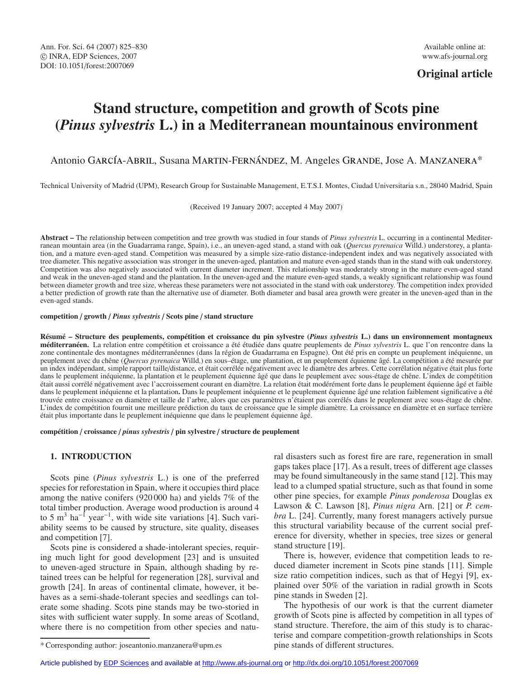## **Original article**

# **Stand structure, competition and growth of Scots pine (***Pinus sylvestris* **L.) in a Mediterranean mountainous environment**

Antonio GARCÍA-ABRIL, Susana MARTIN-FERNÁNDEZ, M. Angeles GRANDE, Jose A. MANZANERA<sup>\*</sup>

Technical University of Madrid (UPM), Research Group for Sustainable Management, E.T.S.I. Montes, Ciudad Universitaria s.n., 28040 Madrid, Spain

(Received 19 January 2007; accepted 4 May 2007)

**Abstract –** The relationship between competition and tree growth was studied in four stands of *Pinus sylvestris* L. occurring in a continental Mediterranean mountain area (in the Guadarrama range, Spain), i.e., an uneven-aged stand, a stand with oak (*Quercus pyrenaica* Willd.) understorey, a plantation, and a mature even-aged stand. Competition was measured by a simple size-ratio distance-independent index and was negatively associated with tree diameter. This negative association was stronger in the uneven-aged, plantation and mature even-aged stands than in the stand with oak understorey. Competition was also negatively associated with current diameter increment. This relationship was moderately strong in the mature even-aged stand and weak in the uneven-aged stand and the plantation. In the uneven-aged and the mature even-aged stands, a weakly significant relationship was found between diameter growth and tree size, whereas these parameters were not associated in the stand with oak understorey. The competition index provided a better prediction of growth rate than the alternative use of diameter. Both diameter and basal area growth were greater in the uneven-aged than in the even-aged stands.

**competition** / **growth** / *Pinus sylvestris* / **Scots pine** / **stand structure**

**Résumé – Structure des peuplements, compétition et croissance du pin sylvestre (***Pinus sylvestris* **L.) dans un environnement montagneux méditerranéen.** La relation entre compétition et croissance a été étudiée dans quatre peuplements de *Pinus sylvestris* L. que l'on rencontre dans la zone continentale des montagnes méditerranéennes (dans la région de Guadarrama en Espagne). Ont été pris en compte un peuplement inéquienne, un peuplement avec du chêne (*Quercus pyrenaica* Willd.) en sous–étage, une plantation, et un peuplement équienne âgé. La compétition a été mesurée par un index indépendant, simple rapport taille/distance, et était corrélée négativement avec le diamètre des arbres. Cette corrélation négative était plus forte dans le peuplement inéquienne, la plantation et le peuplement équienne âgé que dans le peuplement avec sous-étage de chêne. L'index de compétition était aussi corrélé négativement avec l'accroissement courant en diamètre. La relation était modérément forte dans le peuplement équienne âgé et faible dans le peuplement inéquienne et la plantation**.** Dans le peuplement inéquienne et le peuplement équienne âgé une relation faiblement significative a été trouvée entre croissance en diamètre et taille de l'arbre, alors que ces paramètres n'étaient pas corrélés dans le peuplement avec sous-étage de chêne. L'index de compétition fournit une meilleure prédiction du taux de croissance que le simple diamètre. La croissance en diamètre et en surface terrière était plus importante dans le peuplement inéquienne que dans le peuplement équienne âgé.

**compétition** / **croissance** / *pinus sylvestris* / **pin sylvestre** / **structure de peuplement**

#### **1. INTRODUCTION**

Scots pine (*Pinus sylvestris* L.) is one of the preferred species for reforestation in Spain, where it occupies third place among the native conifers (920 000 ha) and yields 7% of the total timber production. Average wood production is around 4 to 5 m<sup>3</sup> ha<sup>-1</sup> year<sup>-1</sup>, with wide site variations [4]. Such variability seems to be caused by structure, site quality, diseases and competition [7].

Scots pine is considered a shade-intolerant species, requiring much light for good development [23] and is unsuited to uneven-aged structure in Spain, although shading by retained trees can be helpful for regeneration [28], survival and growth [24]. In areas of continental climate, however, it behaves as a semi-shade-tolerant species and seedlings can tolerate some shading. Scots pine stands may be two-storied in sites with sufficient water supply. In some areas of Scotland, where there is no competition from other species and natural disasters such as forest fire are rare, regeneration in small gaps takes place [17]. As a result, trees of different age classes may be found simultaneously in the same stand [12]. This may lead to a clumped spatial structure, such as that found in some other pine species, for example *Pinus ponderosa* Douglas ex Lawson & C. Lawson [8], *Pinus nigra* Arn. [21] or *P. cembra* L. [24]. Currently, many forest managers actively pursue this structural variability because of the current social preference for diversity, whether in species, tree sizes or general stand structure [19].

There is, however, evidence that competition leads to reduced diameter increment in Scots pine stands [11]. Simple size ratio competition indices, such as that of Hegyi [9], explained over 50% of the variation in radial growth in Scots pine stands in Sweden [2].

The hypothesis of our work is that the current diameter growth of Scots pine is affected by competition in all types of stand structure. Therefore, the aim of this study is to characterise and compare competition-growth relationships in Scots pine stands of different structures.

<sup>\*</sup> Corresponding author: joseantonio.manzanera@upm.es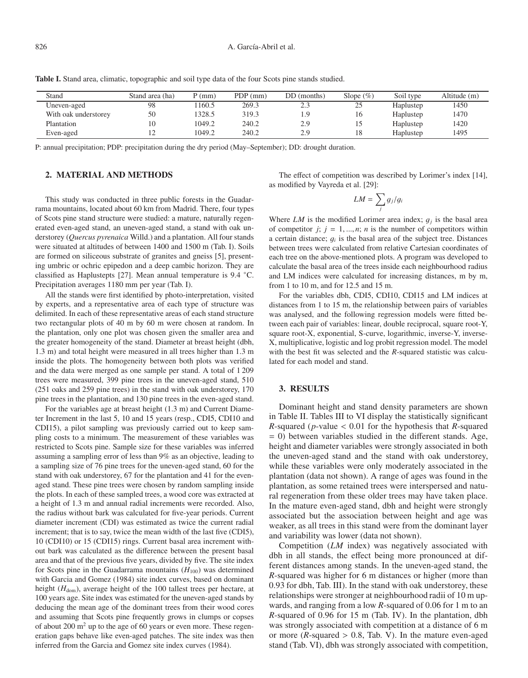| Stand                | Stand area (ha) | $P$ (mm) | $PDP$ (mm) | DD (months) | Slope $(\% )$ | Soil type | Altitude (m) |
|----------------------|-----------------|----------|------------|-------------|---------------|-----------|--------------|
| Uneven-aged          | 98              | 160.5    | 269.3      | 2.3         | 25            | Haplustep | 1450         |
| With oak understorey | 50              | 328.5    | 319.3      |             | 16            | Haplustep | 1470         |
| Plantation           | 10              | 1049.2   | 240.2      | 2.9         |               | Haplustep | 1420         |
| Even-aged            |                 | 1049.2   | 240.2      | 2.9         | 18            | Haplustep | 1495         |

**Table I.** Stand area, climatic, topographic and soil type data of the four Scots pine stands studied.

P: annual precipitation; PDP: precipitation during the dry period (May–September); DD: drought duration.

### **2. MATERIAL AND METHODS**

This study was conducted in three public forests in the Guadarrama mountains, located about 60 km from Madrid. There, four types of Scots pine stand structure were studied: a mature, naturally regenerated even-aged stand, an uneven-aged stand, a stand with oak understorey (*Quercus pyrenaica* Willd.) and a plantation. All four stands were situated at altitudes of between 1400 and 1500 m (Tab. I). Soils are formed on siliceous substrate of granites and gneiss [5], presenting umbric or ochric epipedon and a deep cambic horizon. They are classified as Haplustepts [27]. Mean annual temperature is 9.4 ◦C. Precipitation averages 1180 mm per year (Tab. I).

All the stands were first identified by photo-interpretation, visited by experts, and a representative area of each type of structure was delimited. In each of these representative areas of each stand structure two rectangular plots of 40 m by 60 m were chosen at random. In the plantation, only one plot was chosen given the smaller area and the greater homogeneity of the stand. Diameter at breast height (dbh, 1.3 m) and total height were measured in all trees higher than 1.3 m inside the plots. The homogeneity between both plots was verified and the data were merged as one sample per stand. A total of 1 209 trees were measured, 399 pine trees in the uneven-aged stand, 510 (251 oaks and 259 pine trees) in the stand with oak understorey, 170 pine trees in the plantation, and 130 pine trees in the even-aged stand.

For the variables age at breast height (1.3 m) and Current Diameter Increment in the last 5, 10 and 15 years (resp., CDI5, CDI10 and CDI15), a pilot sampling was previously carried out to keep sampling costs to a minimum. The measurement of these variables was restricted to Scots pine. Sample size for these variables was inferred assuming a sampling error of less than 9% as an objective, leading to a sampling size of 76 pine trees for the uneven-aged stand, 60 for the stand with oak understorey, 67 for the plantation and 41 for the evenaged stand. These pine trees were chosen by random sampling inside the plots. In each of these sampled trees, a wood core was extracted at a height of 1.3 m and annual radial increments were recorded. Also, the radius without bark was calculated for five-year periods. Current diameter increment (CDI) was estimated as twice the current radial increment; that is to say, twice the mean width of the last five (CDI5), 10 (CDI10) or 15 (CDI15) rings. Current basal area increment without bark was calculated as the difference between the present basal area and that of the previous five years, divided by five. The site index for Scots pine in the Guadarrama mountains  $(H_{100})$  was determined with Garcia and Gomez (1984) site index curves, based on dominant height  $(H_{\text{dom}})$ , average height of the 100 tallest trees per hectare, at 100 years age. Site index was estimated for the uneven-aged stands by deducing the mean age of the dominant trees from their wood cores and assuming that Scots pine frequently grows in clumps or copses of about 200  $\text{m}^2$  up to the age of 60 years or even more. These regeneration gaps behave like even-aged patches. The site index was then inferred from the Garcia and Gomez site index curves (1984).

The effect of competition was described by Lorimer's index [14], as modified by Vayreda et al. [29]:

$$
LM = \sum_j g_j/g_i
$$

Where *LM* is the modified Lorimer area index;  $g_j$  is the basal area of competitor  $j$ ;  $j = 1, ..., n$ ; *n* is the number of competitors within a certain distance;  $q_i$  is the basal area of the subject tree. Distances between trees were calculated from relative Cartesian coordinates of each tree on the above-mentioned plots. A program was developed to calculate the basal area of the trees inside each neighbourhood radius and LM indices were calculated for increasing distances, m by m, from 1 to 10 m, and for 12.5 and 15 m.

For the variables dbh, CDI5, CDI10, CDI15 and LM indices at distances from 1 to 15 m, the relationship between pairs of variables was analysed, and the following regression models were fitted between each pair of variables: linear, double reciprocal, square root-Y, square root-X, exponential, S-curve, logarithmic, inverse-Y, inverse-X, multiplicative, logistic and log probit regression model. The model with the best fit was selected and the *R*-squared statistic was calculated for each model and stand.

#### **3. RESULTS**

Dominant height and stand density parameters are shown in Table II. Tables III to VI display the statistically significant *<sup>R</sup>*-squared (*p*-value < 0.01 for the hypothesis that *<sup>R</sup>*-squared  $= 0$ ) between variables studied in the different stands. Age, height and diameter variables were strongly associated in both the uneven-aged stand and the stand with oak understorey, while these variables were only moderately associated in the plantation (data not shown). A range of ages was found in the plantation, as some retained trees were interspersed and natural regeneration from these older trees may have taken place. In the mature even-aged stand, dbh and height were strongly associated but the association between height and age was weaker, as all trees in this stand were from the dominant layer and variability was lower (data not shown).

Competition (*LM* index) was negatively associated with dbh in all stands, the effect being more pronounced at different distances among stands. In the uneven-aged stand, the *R*-squared was higher for 6 m distances or higher (more than 0.93 for dbh, Tab. III). In the stand with oak understorey, these relationships were stronger at neighbourhood radii of 10 m upwards, and ranging from a low *R*-squared of 0.06 for 1 m to an *R*-squared of 0.96 for 15 m (Tab. IV). In the plantation, dbh was strongly associated with competition at a distance of 6 m or more  $(R$ -squared  $> 0.8$ , Tab. V). In the mature even-aged stand (Tab. VI), dbh was strongly associated with competition,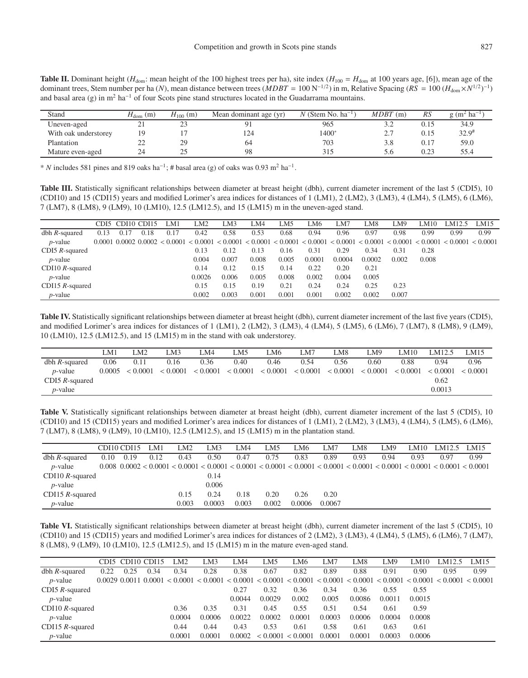**Table II.** Dominant height ( $H_{\text{dom}}$ : mean height of the 100 highest trees per ha), site index ( $H_{100} = H_{\text{dom}}$  at 100 years age, [6]), mean age of the dominant trees, Stem number per ha (*N*), mean distance between trees (*MDBT* = 100 N<sup>-1/2</sup>) in m, Relative Spacing (*RS* = 100 ( $H_{\text{dom}} \times N^{1/2}$ )<sup>-1</sup>) and basal area (g) in  $m^2$  ha<sup>-1</sup> of four Scots pine stand structures located in the Guadarrama mountains.

| Stand                | $H_{\text{dom}}\left(\text{m}\right)$ | $H_{100}$ (m) | Mean dominant age (yr) | $N$ (Stem No. ha <sup>-1</sup> ) | MDBT(m) | RS   | $g$ (m <sup>2</sup> ha <sup>-1</sup> |
|----------------------|---------------------------------------|---------------|------------------------|----------------------------------|---------|------|--------------------------------------|
| Uneven-aged          | ኅ 1<br>$\sim$ 1                       | رے            |                        | 965                              | ے ۔     | 0.15 | 34.9                                 |
| With oak understorey |                                       |               | 124                    | 1400*                            | 2.7     | 0.15 | $32.9^{\#}$                          |
| Plantation           | $\cap$<br>∼                           | 29            | 64                     | 703                              | 3.8     | 0.17 | 59.0                                 |
| Mature even-aged     | 24                                    | ت             | 98                     |                                  | D.0     | 0.23 | 55.4                                 |

 $*$  *N* includes 581 pines and 819 oaks ha<sup>-1</sup>; # basal area (g) of oaks was 0.93 m<sup>2</sup> ha<sup>-1</sup>.

Table III. Statistically significant relationships between diameter at breast height (dbh), current diameter increment of the last 5 (CDI5), 10 (CDI10) and 15 (CDI15) years and modified Lorimer's area indices for distances of 1 (LM1), 2 (LM2), 3 (LM3), 4 (LM4), 5 (LM5), 6 (LM6), 7 (LM7), 8 (LM8), 9 (LM9), 10 (LM10), 12.5 (LM12.5), and 15 (LM15) m in the uneven-aged stand.

|                    |      | CDI5 CDI10 CDI15 |      | LM1  | LM <sub>2</sub>                                                                                                                                                | LM3   | LM4   | LM5   | LM6    | LM7    | LM8    | LM9   | LM10  | LM12.5 | LM15 |
|--------------------|------|------------------|------|------|----------------------------------------------------------------------------------------------------------------------------------------------------------------|-------|-------|-------|--------|--------|--------|-------|-------|--------|------|
| dbh $R$ -squared   | 0.13 | 0.1              | 0.18 | 0.17 | 0.42                                                                                                                                                           | 0.58  | 0.53  | 0.68  | 0.94   | 0.96   | 0.97   | 0.98  | 0.99  | 0.99   | 0.99 |
| $p$ -value         |      |                  |      |      | $0.0001$ $0.0002$ $0.0002$ $< 0.0001$ $< 0.0001$ $< 0.0001$ $< 0.0001$ $< 0.0001$ $< 0.0001$ $< 0.0001$ $< 0.0001$ $< 0.0001$ $< 0.0001$ $< 0.0001$ $< 0.0001$ |       |       |       |        |        |        |       |       |        |      |
| CDI5 $R$ -squared  |      |                  |      |      | 0.13                                                                                                                                                           | 0.12  | 0.13  | 0.16  | 0.31   | 0.29   | 0.34   | 0.31  | 0.28  |        |      |
| $p$ -value         |      |                  |      |      | 0.004                                                                                                                                                          | 0.007 | 0.008 | 0.005 | 0.0001 | 0.0004 | 0.0002 | 0.002 | 0.008 |        |      |
| CDI10 $R$ -squared |      |                  |      |      | 0.14                                                                                                                                                           | 0.12  | 0.15  | 0.14  | 0.22   | 0.20   | 0.21   |       |       |        |      |
| $p$ -value         |      |                  |      |      | 0.0026                                                                                                                                                         | 0.006 | 0.005 | 0.008 | 0.002  | 0.004  | 0.005  |       |       |        |      |
| CDI15 $R$ -squared |      |                  |      |      | 0.15                                                                                                                                                           | 0.15  | 0.19  | 0.21  | 0.24   | 0.24   | 0.25   | 0.23  |       |        |      |
| $p$ -value         |      |                  |      |      | 0.002                                                                                                                                                          | 0.003 | 0.001 | 0.001 | 0.001  | 0.002  | 0.002  | 0.007 |       |        |      |

**Table IV.** Statistically significant relationships between diameter at breast height (dbh), current diameter increment of the last five years (CDI5), and modified Lorimer's area indices for distances of 1 (LM1), 2 (LM2), 3 (LM3), 4 (LM4), 5 (LM5), 6 (LM6), 7 (LM7), 8 (LM8), 9 (LM9), 10 (LM10), 12.5 (LM12.5), and 15 (LM15) m in the stand with oak understorey.

|                   | LM1    | M2       | LM3      | LM4      | LM5          | LM6      | LM7      | LM8      | LM9          | LM10         | LM12.5   | LM15     |
|-------------------|--------|----------|----------|----------|--------------|----------|----------|----------|--------------|--------------|----------|----------|
| dbh $R$ -squared  | 0.06   | 0.11     | 0.16     | 0.36     | 0.40         | 0.46     | 0.54     | 0.56     | 0.60         | 0.88         | 0.94     | 0.96     |
| $p$ -value        | 0.0005 | < 0.0001 | < 0.0001 | < 0.0001 | ${}< 0.0001$ | < 0.0001 | < 0.0001 | < 0.0001 | ${}< 0.0001$ | ${}< 0.0001$ | < 0.0001 | < 0.0001 |
| CDI5 $R$ -squared |        |          |          |          |              |          |          |          |              |              | 0.62     |          |
| $p$ -value        |        |          |          |          |              |          |          |          |              |              | 0.0013   |          |

Table V. Statistically significant relationships between diameter at breast height (dbh), current diameter increment of the last 5 (CDI5), 10 (CDI10) and 15 (CDI15) years and modified Lorimer's area indices for distances of 1 (LM1), 2 (LM2), 3 (LM3), 4 (LM4), 5 (LM5), 6 (LM6), 7 (LM7), 8 (LM8), 9 (LM9), 10 (LM10), 12.5 (LM12.5), and 15 (LM15) m in the plantation stand.

|                    |      | CDI10 CDI15 | LM1  | LM <sub>2</sub> | LM3    | _M4   | LM5   | LM6    | LM7    | LM8  | LM9  | LM10. | LM12.5                                                                                                                                               | LM15 |
|--------------------|------|-------------|------|-----------------|--------|-------|-------|--------|--------|------|------|-------|------------------------------------------------------------------------------------------------------------------------------------------------------|------|
| $dbh$ R-squared    | 0.10 | 0.19        | 0.12 | 0.43            | 0.50   | 0.47  | 0.75  | 0.83   | 0.89   | 0.93 | 0.94 | 0.93  | 0.97                                                                                                                                                 | 0.99 |
| $p$ -value         |      |             |      |                 |        |       |       |        |        |      |      |       | $0.008$ $0.0002$ < $0.0001$ < $0.0001$ < $0.0001$ < $0.0001$ < $0.0001$ < $0.0001$ < $0.0001$ < $0.0001$ < $0.0001$ < $0.0001$ < $0.0001$ < $0.0001$ |      |
| $CDI10 R$ -squared |      |             |      |                 | 0.14   |       |       |        |        |      |      |       |                                                                                                                                                      |      |
| $p$ -value         |      |             |      |                 | 0.006  |       |       |        |        |      |      |       |                                                                                                                                                      |      |
| CDI15 $R$ -squared |      |             |      | 0.15            | 0.24   | 0.18  | 0.20  | 0.26   | 0.20   |      |      |       |                                                                                                                                                      |      |
| $p$ -value         |      |             |      | 0.003           | 0.0003 | 0.003 | 0.002 | 0.0006 | 0.0067 |      |      |       |                                                                                                                                                      |      |

**Table VI.** Statistically significant relationships between diameter at breast height (dbh), current diameter increment of the last 5 (CDI5), 10 (CDI10) and 15 (CDI15) years and modified Lorimer's area indices for distances of 2 (LM2), 3 (LM3), 4 (LM4), 5 (LM5), 6 (LM6), 7 (LM7), 8 (LM8), 9 (LM9), 10 (LM10), 12.5 (LM12.5), and 15 (LM15) m in the mature even-aged stand.

|                    |      |      | CDI5 CDI10 CDI15 | LM <sub>2</sub> | LM3    | LM4    | LM5               | LM <sub>6</sub> | LM7    | LM8                                                                                                                                                 | LM9    | LM10   | LM12.5 | LM15 |
|--------------------|------|------|------------------|-----------------|--------|--------|-------------------|-----------------|--------|-----------------------------------------------------------------------------------------------------------------------------------------------------|--------|--------|--------|------|
| $dbh$ R-squared    | 0.22 | 0.25 | 0.34             | 0.34            | 0.28   | 0.38   | 0.67              | 0.82            | 0.89   | 0.88                                                                                                                                                | 0.91   | 0.90   | 0.95   | 0.99 |
| <i>p</i> -value    |      |      |                  |                 |        |        |                   |                 |        | $0.0029$ $0.0011$ $0.0001$ $< 0.0001$ $< 0.0001$ $< 0.0001$ $< 0.0001$ $< 0.0001$ $< 0.0001$ $< 0.0001$ $< 0.0001$ $< 0.0001$ $< 0.0001$ $< 0.0001$ |        |        |        |      |
| CDI5 $R$ -squared  |      |      |                  |                 |        | 0.27   | 0.32              | 0.36            | 0.34   | 0.36                                                                                                                                                | 0.55   | 0.55   |        |      |
| $p$ -value         |      |      |                  |                 |        | 0.0044 | 0.0029            | 0.002           | 0.005  | 0.0086                                                                                                                                              | 0.0011 | 0.0015 |        |      |
| $CDI10 R$ -squared |      |      |                  | 0.36            | 0.35   | 0.31   | 0.45              | 0.55            | 0.51   | 0.54                                                                                                                                                | 0.61   | 0.59   |        |      |
| $p$ -value         |      |      |                  | 0.0004          | 0.0006 | 0.0022 | 0.0002            | 0.0001          | 0.0003 | 0.0006                                                                                                                                              | 0.0004 | 0.0008 |        |      |
| CDI15 $R$ -squared |      |      |                  | 0.44            | 0.44   | 0.43   | 0.53              | 0.61            | 0.58   | 0.61                                                                                                                                                | 0.63   | 0.61   |        |      |
| $p$ -value         |      |      |                  | 0.0001          | 0.0001 | 0.0002 | < 0.0001 < 0.0001 |                 | 0.0001 | 0.0001                                                                                                                                              | 0.0003 | 0.0006 |        |      |
|                    |      |      |                  |                 |        |        |                   |                 |        |                                                                                                                                                     |        |        |        |      |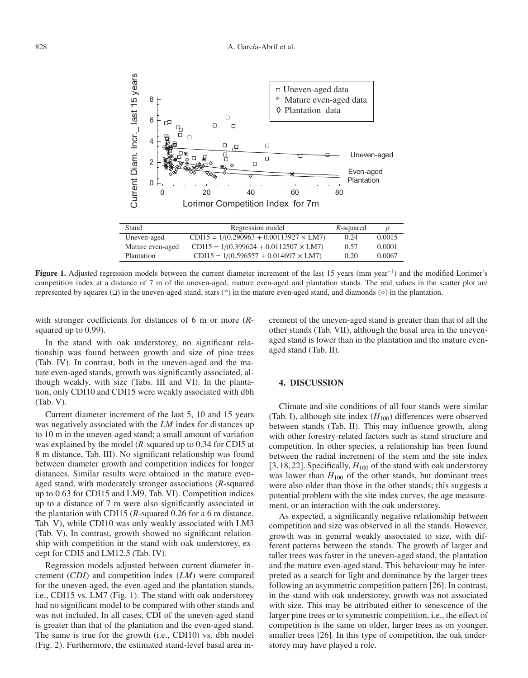

**Figure 1.** Adjusted regression models between the current diameter increment of the last 15 years (mm year<sup>-1</sup>) and the modified Lorimer's competition index at a distance of 7 m of the uneven-aged, mature even-aged and plantation stands. The real values in the scatter plot are represented by squares  $(\Box)$  in the uneven-aged stand, stars (\*) in the mature even-aged stand, and diamonds ( $\diamond$ ) in the plantation.

with stronger coefficients for distances of 6 m or more (*R*squared up to 0.99).

In the stand with oak understorey, no significant relationship was found between growth and size of pine trees (Tab. IV). In contrast, both in the uneven-aged and the mature even-aged stands, growth was significantly associated, although weakly, with size (Tabs. III and VI). In the plantation, only CDI10 and CDI15 were weakly associated with dbh (Tab. V).

Current diameter increment of the last 5, 10 and 15 years was negatively associated with the *LM* index for distances up to 10 m in the uneven-aged stand; a small amount of variation was explained by the model (*R*-squared up to 0.34 for CDI5 at 8 m distance, Tab. III). No significant relationship was found between diameter growth and competition indices for longer distances. Similar results were obtained in the mature evenaged stand, with moderately stronger associations (*R*-squared up to 0.63 for CDI15 and LM9, Tab. VI). Competition indices up to a distance of 7 m were also significantly associated in the plantation with CDI15 (*R*-squared 0.26 for a 6 m distance, Tab. V), while CDI10 was only weakly associated with LM3 (Tab. V). In contrast, growth showed no significant relationship with competition in the stand with oak understorey, except for CDI5 and LM12.5 (Tab. IV).

Regression models adjusted between current diameter increment (*CDI*) and competition index (*LM*) were compared for the uneven-aged, the even-aged and the plantation stands, i.e., CDI15 vs. LM7 (Fig. 1). The stand with oak understorey had no significant model to be compared with other stands and was not included. In all cases, CDI of the uneven-aged stand is greater than that of the plantation and the even-aged stand. The same is true for the growth (i.e., CDI10) vs. dbh model (Fig. 2). Furthermore, the estimated stand-level basal area increment of the uneven-aged stand is greater than that of all the other stands (Tab. VII), although the basal area in the unevenaged stand is lower than in the plantation and the mature evenaged stand (Tab. II).

#### **4. DISCUSSION**

Climate and site conditions of all four stands were similar (Tab. I), although site index  $(H_{100})$  differences were observed between stands (Tab. II). This may influence growth, along with other forestry-related factors such as stand structure and competition. In other species, a relationship has been found between the radial increment of the stem and the site index [3,18,22]. Specifically,  $H_{100}$  of the stand with oak understorey was lower than  $H_{100}$  of the other stands, but dominant trees were also older than those in the other stands; this suggests a potential problem with the site index curves, the age measurement, or an interaction with the oak understorey.

As expected, a significantly negative relationship between competition and size was observed in all the stands. However, growth was in general weakly associated to size, with different patterns between the stands. The growth of larger and taller trees was faster in the uneven-aged stand, the plantation and the mature even-aged stand. This behaviour may be interpreted as a search for light and dominance by the larger trees following an asymmetric competition pattern [26]. In contrast, in the stand with oak understorey, growth was not associated with size. This may be attributed either to senescence of the larger pine trees or to symmetric competition, i.e., the effect of competition is the same on older, larger trees as on younger, smaller trees [26]. In this type of competition, the oak understorey may have played a role.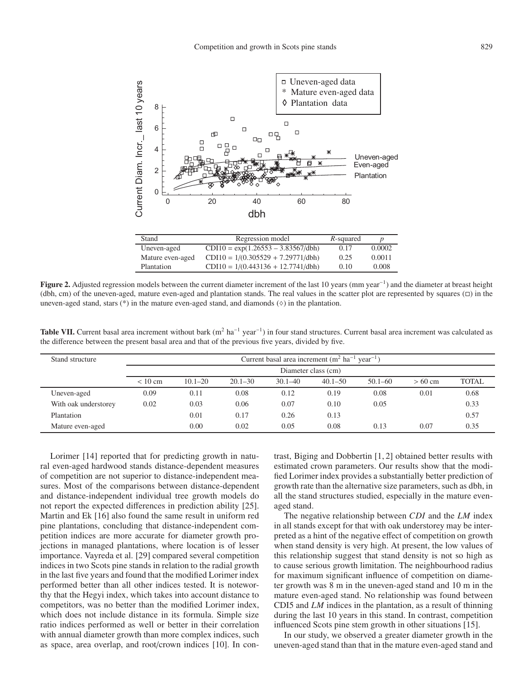

**Figure 2.** Adjusted regression models between the current diameter increment of the last 10 years (mm year<sup>-1</sup>) and the diameter at breast height  $(dbh, cm)$  of the uneven-aged, mature even-aged and plantation stands. The real values in the scatter plot are represented by squares  $(\Box)$  in the uneven-aged stand, stars  $(*)$  in the mature even-aged stand, and diamonds  $(*)$  in the plantation.

| Stand structure      |                   |             |             | Current basal area increment $(m^2 \text{ ha}^{-1} \text{ year}^{-1})$ |                     |             |          |              |
|----------------------|-------------------|-------------|-------------|------------------------------------------------------------------------|---------------------|-------------|----------|--------------|
|                      |                   |             |             |                                                                        | Diameter class (cm) |             |          |              |
|                      | $< 10 \text{ cm}$ | $10.1 - 20$ | $20.1 - 30$ | $30.1 - 40$                                                            | $40.1 - 50$         | $50.1 - 60$ | $>60$ cm | <b>TOTAL</b> |
| Uneven-aged          | 0.09              | 0.11        | 0.08        | 0.12                                                                   | 0.19                | 0.08        | 0.01     | 0.68         |
| With oak understorey | 0.02              | 0.03        | 0.06        | 0.07                                                                   | 0.10                | 0.05        |          | 0.33         |
| Plantation           |                   | 0.01        | 0.17        | 0.26                                                                   | 0.13                |             |          | 0.57         |
| Mature even-aged     |                   | 0.00        | 0.02        | 0.05                                                                   | 0.08                | 0.13        | 0.07     | 0.35         |

Table VII. Current basal area increment without bark (m<sup>2</sup> ha<sup>-1</sup> year<sup>-1</sup>) in four stand structures. Current basal area increment was calculated as the difference between the present basal area and that of the previous five years, divided by five.

Lorimer [14] reported that for predicting growth in natural even-aged hardwood stands distance-dependent measures of competition are not superior to distance-independent measures. Most of the comparisons between distance-dependent and distance-independent individual tree growth models do not report the expected differences in prediction ability [25]. Martin and Ek [16] also found the same result in uniform red pine plantations, concluding that distance-independent competition indices are more accurate for diameter growth projections in managed plantations, where location is of lesser importance. Vayreda et al. [29] compared several competition indices in two Scots pine stands in relation to the radial growth in the last five years and found that the modified Lorimer index performed better than all other indices tested. It is noteworthy that the Hegyi index, which takes into account distance to competitors, was no better than the modified Lorimer index, which does not include distance in its formula. Simple size ratio indices performed as well or better in their correlation with annual diameter growth than more complex indices, such as space, area overlap, and root/crown indices [10]. In contrast, Biging and Dobbertin [1, 2] obtained better results with estimated crown parameters. Our results show that the modified Lorimer index provides a substantially better prediction of growth rate than the alternative size parameters, such as dbh, in all the stand structures studied, especially in the mature evenaged stand.

The negative relationship between *CDI* and the *LM* index in all stands except for that with oak understorey may be interpreted as a hint of the negative effect of competition on growth when stand density is very high. At present, the low values of this relationship suggest that stand density is not so high as to cause serious growth limitation. The neighbourhood radius for maximum significant influence of competition on diameter growth was 8 m in the uneven-aged stand and 10 m in the mature even-aged stand. No relationship was found between CDI5 and *LM* indices in the plantation, as a result of thinning during the last 10 years in this stand. In contrast, competition influenced Scots pine stem growth in other situations [15].

In our study, we observed a greater diameter growth in the uneven-aged stand than that in the mature even-aged stand and